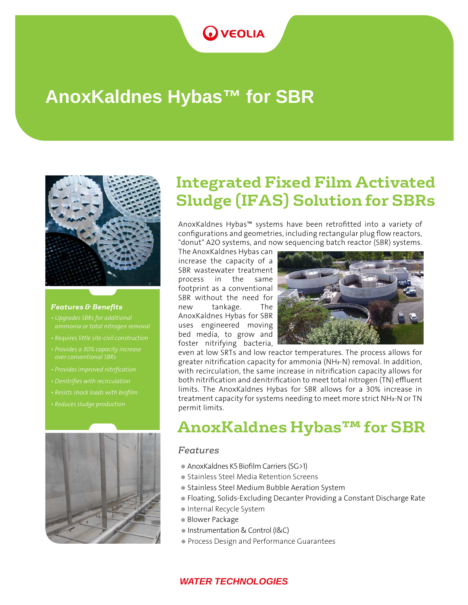### **OVEOLIA**

# **AnoxKaldnes Hybas™ for SBR**



#### *Features & Benefits*

- *Upgrades SBRs for additional*
- *Requires little site-civil construction*
- *Provides a 30% capacity increase over conventional SBRs*
- 
- *Denitrifies with recirculation*
- 
- 



## **Integrated Fixed Film Activated Sludge (IFAS) Solution for SBRs**

AnoxKaldnes Hybas™ systems have been retrofitted into a variety of configurations and geometries, including rectangular plug flow reactors, "donut" A2O systems, and now sequencing batch reactor (SBR) systems.

The AnoxKaldnes Hybas can increase the capacity of a SBR wastewater treatment process in the same footprint as a conventional SBR without the need for new tankage. The AnoxKaldnes Hybas for SBR uses engineered moving bed media, to grow and foster nitrifying bacteria,



 permit limits. even at low SRTs and low reactor temperatures. The process allows for greater nitrification capacity for ammonia (NH₃-N) removal. In addition, with recirculation, the same increase in nitrification capacity allows for both nitrification and denitrification to meet total nitrogen (TN) effluent limits. The AnoxKaldnes Hybas for SBR allows for a 30% increase in treatment capacity for systems needing to meet more strict NH₃-N or TN

## **AnoxKaldnes Hybas™ for SBR**

### *Features*

- AnoxKaldnes K5 Biofilm Carriers (SG>1)
- Stainless Steel Media Retention Screens
- Stainless Steel Medium Bubble Aeration System
- Floating, Solids-Excluding Decanter Providing a Constant Discharge Rate
- Internal Recycle System
- Blower Package
- Instrumentation & Control (I&C)
- **Process Design and Performance Guarantees**

#### *WATER TECHNOLOGIES*